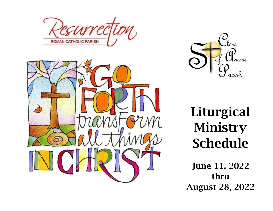





# Liturgical Ministry Schedule

June 11, 2022 thru August 28, 2022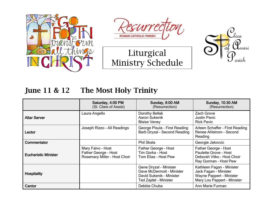







#### June 11 & 12 The Most Holy Trinity

|                             | Saturday, 4:00 PM<br>(St. Clare of Assisi)                                | Sunday, 8:00 AM<br>(Resurrection)                                                                        | <b>Sunday, 10:30 AM</b><br>(Resurrection)                                                                     |
|-----------------------------|---------------------------------------------------------------------------|----------------------------------------------------------------------------------------------------------|---------------------------------------------------------------------------------------------------------------|
| Altar Server                | Laura Angello                                                             | Dorothy Bellak<br>Aaron Sukenik<br><b>Blaise Veney</b>                                                   | Zach Grove<br><b>Justin Pavic</b><br><b>Rick Pavic</b>                                                        |
| Lector                      | Joseph Rizzo - All Readings                                               | George Pisula - First Reading<br>Barb Dryzal - Second Reading                                            | Arleen Schaffer - First Reading<br>Renee Ahlstrom - Second<br>Reading                                         |
| Commentator                 |                                                                           | Phil Skala                                                                                               | Georgie Jakovcic                                                                                              |
| <b>Eucharistic Minister</b> | Mary Falvo - Host<br>Father George - Host<br>Rosemary Miller - Host Choir | Father George - Host<br>Tim Gorka - Host<br>Tom Elias - Host Pew                                         | Father George - Host<br>Paulette Grove - Host<br>Deborah Vitko - Host Choir<br>Ray Gorman - Host Pew          |
| <b>Hospitality</b>          |                                                                           | Gene Dryzal - Minister<br>Dave McDermott - Minister<br>David Sukenik - Minister<br>Ted Zajdel - Minister | Kathleen Fagan - Minister<br>Jack Fagan - Minister<br>Wayne Pappert - Minister<br>Mary Lou Pappert - Minister |
| Cantor                      |                                                                           | Debbie Chuba                                                                                             | Ann Marie Furman                                                                                              |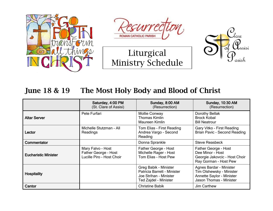







#### June 18 & 19 The Most Holy Body and Blood of Christ

|                             | Saturday, 4:00 PM<br>(St. Clare of Assisi)                             | Sunday, 8:00 AM<br>(Resurrection)                                                                       | <b>Sunday, 10:30 AM</b><br>(Resurrection)                                                                   |
|-----------------------------|------------------------------------------------------------------------|---------------------------------------------------------------------------------------------------------|-------------------------------------------------------------------------------------------------------------|
| Altar Server                | Pete Furfari                                                           | <b>Mollie Conway</b><br><b>Thomas Kimlin</b><br>Maureen Kimlin                                          | Dorothy Bellak<br><b>Brock Kobal</b><br><b>Bill Neatrour</b>                                                |
| Lector                      | Michelle Stutzman - All<br>Readings                                    | Tom Elias - First Reading<br>Andrea Vargo - Second<br>Reading                                           | Gary Vitko - First Reading<br>Brian Pavic - Second Reading                                                  |
| Commentator                 |                                                                        | Donna Sprankle                                                                                          | <b>Steve Reasbeck</b>                                                                                       |
| <b>Eucharistic Minister</b> | Mary Falvo - Host<br>Father George - Host<br>Lucille Piro - Host Choir | Father George - Host<br>Michelle Rager - Host<br>Tom Elias - Host Pew                                   | Father George - Host<br>Dee Minor - Host<br>Georgie Jakovcic - Host Choir<br>Ray Gorman - Host Pew          |
| <b>Hospitality</b>          |                                                                        | Greg Babik - Minister<br>Patricia Barrett - Minister<br>Joe Strihan - Minister<br>Ted Zajdel - Minister | Agnes Bardar - Minister<br>Tim Olshewsky - Minister<br>Annette Saylor - Minister<br>Jason Thomas - Minister |
| Cantor                      |                                                                        | <b>Christine Babik</b>                                                                                  | <b>Jim Carthew</b>                                                                                          |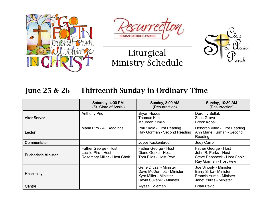







#### June 25 & 26 Thirteenth Sunday in Ordinary Time

|                             | Saturday, 4:00 PM<br>(St. Clare of Assisi)                                  | Sunday, 8:00 AM<br>(Resurrection)                                                                         | <b>Sunday, 10:30 AM</b><br>(Resurrection)                                                                     |
|-----------------------------|-----------------------------------------------------------------------------|-----------------------------------------------------------------------------------------------------------|---------------------------------------------------------------------------------------------------------------|
| <b>Altar Server</b>         | <b>Anthony Piro</b>                                                         | <b>Bryan Hodos</b><br><b>Thomas Kimlin</b><br>Maureen Kimlin                                              | Dorothy Bellak<br>Zach Grove<br><b>Brock Kobal</b>                                                            |
| Lector                      | Maria Piro - All Readings                                                   | Phil Skala - First Reading<br>Ray Gorman - Second Reading                                                 | Deborah Vitko - First Reading<br>Ann Marie Furman - Second<br>Reading                                         |
| <b>Commentator</b>          |                                                                             | Joyce Kuckenbrod                                                                                          | <b>Judy Carroll</b>                                                                                           |
| <b>Eucharistic Minister</b> | Father George - Host<br>Lucille Piro - Host<br>Rosemary Miller - Host Choir | Father George - Host<br>Diane Gorka - Host<br>Tom Elias - Host Pew                                        | Father George - Host<br>John R. Parks - Host<br>Steve Reasbeck - Host Choir<br>Ray Gorman - Host Pew          |
| <b>Hospitality</b>          |                                                                             | Gene Dryzal - Minister<br>Dave McDermott - Minister<br>Kyra Miller - Minister<br>David Sukenik - Minister | Joe Sinoply - Minister<br>Barry Sirko - Minister<br><b>Francis Yuras - Minister</b><br>Janet Yuras - Minister |
| Cantor                      |                                                                             | Alyssa Coleman                                                                                            | <b>Brian Pavic</b>                                                                                            |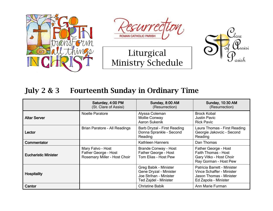







#### July 2 & 3 Fourteenth Sunday in Ordinary Time

|                             | Saturday, 4:00 PM<br>(St. Clare of Assisi)                                | Sunday, 8:00 AM<br>(Resurrection)                                                                  | <b>Sunday, 10:30 AM</b><br>(Resurrection)                                                                          |
|-----------------------------|---------------------------------------------------------------------------|----------------------------------------------------------------------------------------------------|--------------------------------------------------------------------------------------------------------------------|
| <b>Altar Server</b>         | <b>Noelle Paratore</b>                                                    | Alyssa Coleman<br><b>Mollie Conway</b><br>Aaron Sukenik                                            | <b>Brock Kobal</b><br><b>Justin Pavic</b><br><b>Rick Pavic</b>                                                     |
| Lector                      | Brian Paratore - All Readings                                             | Barb Dryzal - First Reading<br>Donna Sprankle - Second<br>Reading                                  | Laura Thomas - First Reading<br>Georgie Jakovcic - Second<br>Reading                                               |
| <b>Commentator</b>          |                                                                           | <b>Kathleen Hanners</b>                                                                            | Dan Thomas                                                                                                         |
| <b>Eucharistic Minister</b> | Mary Falvo - Host<br>Father George - Host<br>Rosemary Miller - Host Choir | <b>Brande Conway - Host</b><br>Father George - Host<br>Tom Elias - Host Pew                        | Father George - Host<br><b>Faith Thomas - Host</b><br>Gary Vitko - Host Choir<br>Ray Gorman - Host Pew             |
| <b>Hospitality</b>          |                                                                           | Greg Babik - Minister<br>Gene Dryzal - Minister<br>Joe Strihan - Minister<br>Ted Zajdel - Minister | Patricia Barrett - Minister<br><b>Vince Schaffer - Minister</b><br>Jason Thomas - Minister<br>Ed Zapola - Minister |
| Cantor                      |                                                                           | <b>Christine Babik</b>                                                                             | Ann Marie Furman                                                                                                   |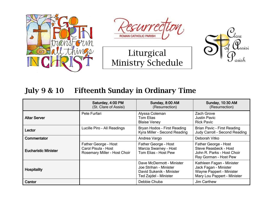







#### July 9 & 10 Fifteenth Sunday in Ordinary Time

|                             | Saturday, 4:00 PM<br>(St. Clare of Assisi)                                  | Sunday, 8:00 AM<br>(Resurrection)                                                                        | <b>Sunday, 10:30 AM</b><br>(Resurrection)                                                                     |
|-----------------------------|-----------------------------------------------------------------------------|----------------------------------------------------------------------------------------------------------|---------------------------------------------------------------------------------------------------------------|
| <b>Altar Server</b>         | Pete Furfari                                                                | Alyssa Coleman<br>Tom Elias<br><b>Blaise Veney</b>                                                       | Zach Grove<br><b>Justin Pavic</b><br><b>Rick Pavic</b>                                                        |
| Lector                      | Lucille Piro - All Readings                                                 | Bryan Hodos - First Reading<br>Kyra Miller - Second Reading                                              | <b>Brian Pavic - First Reading</b><br>Judy Carroll - Second Reading                                           |
| Commentator                 |                                                                             | Andrea Vargo                                                                                             | Deborah Vitko                                                                                                 |
| <b>Eucharistic Minister</b> | Father George - Host<br>Carol Pisula - Host<br>Rosemary Miller - Host Choir | Father George - Host<br>Marcia Swarney - Host<br>Tom Elias - Host Pew                                    | Father George - Host<br><b>Steve Reasbeck - Host</b><br>John R. Parks - Host Choir<br>Ray Gorman - Host Pew   |
| <b>Hospitality</b>          |                                                                             | Dave McDermott - Minister<br>Joe Strihan - Minister<br>David Sukenik - Minister<br>Ted Zajdel - Minister | Kathleen Fagan - Minister<br>Jack Fagan - Minister<br>Wayne Pappert - Minister<br>Mary Lou Pappert - Minister |
| Cantor                      |                                                                             | Debbie Chuba                                                                                             | <b>Jim Carthew</b>                                                                                            |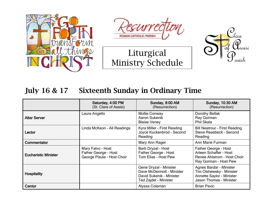







#### July 16 & 17 Sixteenth Sunday in Ordinary Time

|                             | Saturday, 4:00 PM<br>(St. Clare of Assisi)                              | Sunday, 8:00 AM<br>(Resurrection)                                                                        | <b>Sunday, 10:30 AM</b><br>(Resurrection)                                                                   |
|-----------------------------|-------------------------------------------------------------------------|----------------------------------------------------------------------------------------------------------|-------------------------------------------------------------------------------------------------------------|
| <b>Altar Server</b>         | Laura Angello                                                           | <b>Mollie Conway</b><br>Aaron Sukenik<br><b>Blaise Veney</b>                                             | Dorothy Bellak<br>Ray Gorman<br>Phil Skala                                                                  |
| Lector                      | Linda McKeon - All Readings                                             | Kyra Miller - First Reading<br>Joyce Kuckenbrod - Second<br>Reading                                      | <b>Bill Neatrour - First Reading</b><br>Steve Reasbeck - Second<br>Reading                                  |
| <b>Commentator</b>          |                                                                         | Mary Ann Rager                                                                                           | Ann Marie Furman                                                                                            |
| <b>Eucharistic Minister</b> | Mary Falvo - Host<br>Father George - Host<br>George Pisula - Host Choir | Barb Dryzal - Host<br>Father George - Host<br>Tom Elias - Host Pew                                       | Father George - Host<br>Arleen Schaffer - Host<br>Renee Ahlstrom - Host Choir<br>Ray Gorman - Host Pew      |
| <b>Hospitality</b>          |                                                                         | Gene Dryzal - Minister<br>Dave McDermott - Minister<br>David Sukenik - Minister<br>Ted Zajdel - Minister | Agnes Bardar - Minister<br>Tim Olshewsky - Minister<br>Annette Saylor - Minister<br>Jason Thomas - Minister |
| Cantor                      |                                                                         | Alyssa Coleman                                                                                           | <b>Brian Pavic</b>                                                                                          |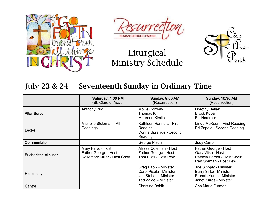







#### July 23 & 24 Seventeenth Sunday in Ordinary Time

|                             | Saturday, 4:00 PM<br>(St. Clare of Assisi)                                | Sunday, 8:00 AM<br>(Resurrection)                                                                   | <b>Sunday, 10:30 AM</b><br>(Resurrection)                                                                     |
|-----------------------------|---------------------------------------------------------------------------|-----------------------------------------------------------------------------------------------------|---------------------------------------------------------------------------------------------------------------|
| <b>Altar Server</b>         | <b>Anthony Piro</b>                                                       | <b>Mollie Conway</b><br><b>Thomas Kimlin</b><br>Maureen Kimlin                                      | Dorothy Bellak<br><b>Brock Kobal</b><br><b>Bill Neatrour</b>                                                  |
| Lector                      | Michelle Stutzman - All<br>Readings                                       | Kathleen Hanners - First<br>Reading<br>Donna Sprankle - Second<br>Reading                           | Linda McKeon - First Reading<br>Ed Zapola - Second Reading                                                    |
| Commentator                 |                                                                           | George Pisula                                                                                       | <b>Judy Carroll</b>                                                                                           |
| <b>Eucharistic Minister</b> | Mary Falvo - Host<br>Father George - Host<br>Rosemary Miller - Host Choir | Alyssa Coleman - Host<br>Father George - Host<br>Tom Elias - Host Pew                               | Father George - Host<br>Gary Vitko - Host<br>Patricia Barrett - Host Choir<br>Ray Gorman - Host Pew           |
| <b>Hospitality</b>          |                                                                           | Greg Babik - Minister<br>Carol Pisula - Minister<br>Joe Strihan - Minister<br>Ted Zajdel - Minister | Joe Sinoply - Minister<br><b>Barry Sirko - Minister</b><br>Francis Yuras - Minister<br>Janet Yuras - Minister |
| Cantor                      |                                                                           | <b>Christine Babik</b>                                                                              | Ann Marie Furman                                                                                              |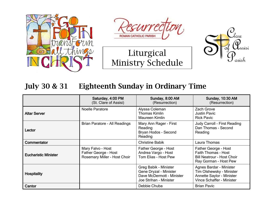







#### July 30 & 31 Eighteenth Sunday in Ordinary Time

|                             | Saturday, 4:00 PM<br>(St. Clare of Assisi)                                | Sunday, 8:00 AM<br>(Resurrection)                                                                      | <b>Sunday, 10:30 AM</b><br>(Resurrection)                                                                            |
|-----------------------------|---------------------------------------------------------------------------|--------------------------------------------------------------------------------------------------------|----------------------------------------------------------------------------------------------------------------------|
| <b>Altar Server</b>         | <b>Noelle Paratore</b>                                                    | Alyssa Coleman<br><b>Thomas Kimlin</b><br>Maureen Kimlin                                               | Zach Grove<br><b>Justin Pavic</b><br><b>Rick Pavic</b>                                                               |
| Lector                      | Brian Paratore - All Readings                                             | Mary Ann Rager - First<br>Reading<br>Bryan Hodos - Second<br>Reading                                   | Judy Carroll - First Reading<br>Dan Thomas - Second<br>Reading                                                       |
| Commentator                 |                                                                           | <b>Christine Babik</b>                                                                                 | Laura Thomas                                                                                                         |
| <b>Eucharistic Minister</b> | Mary Falvo - Host<br>Father George - Host<br>Rosemary Miller - Host Choir | Father George - Host<br>Andrea Vargo - Host<br>Tom Elias - Host Pew                                    | Father George - Host<br>Faith Thomas - Host<br><b>Bill Neatrour - Host Choir</b><br>Ray Gorman - Host Pew            |
| <b>Hospitality</b>          |                                                                           | Greg Babik - Minister<br>Gene Dryzal - Minister<br>Dave McDermott - Minister<br>Joe Strihan - Minister | Agnes Bardar - Minister<br>Tim Olshewsky - Minister<br>Annette Saylor - Minister<br><b>Vince Schaffer - Minister</b> |
| Cantor                      |                                                                           | Debbie Chuba                                                                                           | <b>Brian Pavic</b>                                                                                                   |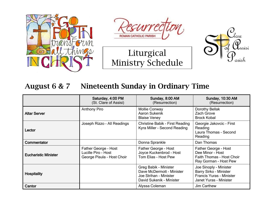







#### August 6 & 7 Nineteenth Sunday in Ordinary Time

|                             | Saturday, 4:00 PM<br>(St. Clare of Assisi)                                | Sunday, 8:00 AM<br>(Resurrection)                                                                        | <b>Sunday, 10:30 AM</b><br>(Resurrection)                                                                     |
|-----------------------------|---------------------------------------------------------------------------|----------------------------------------------------------------------------------------------------------|---------------------------------------------------------------------------------------------------------------|
| <b>Altar Server</b>         | <b>Anthony Piro</b>                                                       | <b>Mollie Conway</b><br>Aaron Sukenik<br><b>Blaise Veney</b>                                             | Dorothy Bellak<br>Zach Grove<br><b>Brock Kobal</b>                                                            |
| Lector                      | Joseph Rizzo - All Readings                                               | <b>Christine Babik - First Reading</b><br>Kyra Miller - Second Reading                                   | Georgie Jakovcic - First<br>Reading<br>Laura Thomas - Second<br>Reading                                       |
| Commentator                 |                                                                           | Donna Sprankle                                                                                           | Dan Thomas                                                                                                    |
| <b>Eucharistic Minister</b> | Father George - Host<br>Lucille Piro - Host<br>George Pisula - Host Choir | Father George - Host<br>Joyce Kuckenbrod - Host<br>Tom Elias - Host Pew                                  | Father George - Host<br>Dee Minor - Host<br>Faith Thomas - Host Choir<br>Ray Gorman - Host Pew                |
| <b>Hospitality</b>          |                                                                           | Greg Babik - Minister<br>Dave McDermott - Minister<br>Joe Strihan - Minister<br>David Sukenik - Minister | Joe Sinoply - Minister<br><b>Barry Sirko - Minister</b><br>Francis Yuras - Minister<br>Janet Yuras - Minister |
| Cantor                      |                                                                           | Alyssa Coleman                                                                                           | Jim Carthew                                                                                                   |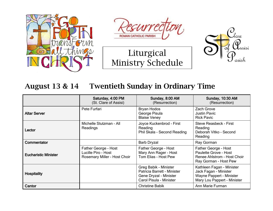







#### August 13 & 14 Twentieth Sunday in Ordinary Time

|                             | Saturday, 4:00 PM<br>(St. Clare of Assisi)                                  | Sunday, 8:00 AM<br>(Resurrection)                                                                         | <b>Sunday, 10:30 AM</b><br>(Resurrection)                                                                     |
|-----------------------------|-----------------------------------------------------------------------------|-----------------------------------------------------------------------------------------------------------|---------------------------------------------------------------------------------------------------------------|
| <b>Altar Server</b>         | Pete Furfari                                                                | <b>Bryan Hodos</b><br>George Pisula<br><b>Blaise Veney</b>                                                | Zach Grove<br><b>Justin Pavic</b><br><b>Rick Pavic</b>                                                        |
| Lector                      | Michelle Stutzman - All<br>Readings                                         | Joyce Kuckenbrod - First<br>Reading<br>Phil Skala - Second Reading                                        | <b>Steve Reasbeck - First</b><br>Reading<br>Deborah Vitko - Second<br>Reading                                 |
| Commentator                 |                                                                             | <b>Barb Dryzal</b>                                                                                        | Ray Gorman                                                                                                    |
| <b>Eucharistic Minister</b> | Father George - Host<br>Lucille Piro - Host<br>Rosemary Miller - Host Choir | Father George - Host<br>Mary Ann Rager - Host<br>Tom Elias - Host Pew                                     | Father George - Host<br>Paulette Grove - Host<br>Renee Ahlstrom - Host Choir<br>Ray Gorman - Host Pew         |
| <b>Hospitality</b>          |                                                                             | Greg Babik - Minister<br>Patricia Barrett - Minister<br>Gene Dryzal - Minister<br>Carol Pisula - Minister | Kathleen Fagan - Minister<br>Jack Fagan - Minister<br>Wayne Pappert - Minister<br>Mary Lou Pappert - Minister |
| Cantor                      |                                                                             | <b>Christine Babik</b>                                                                                    | Ann Marie Furman                                                                                              |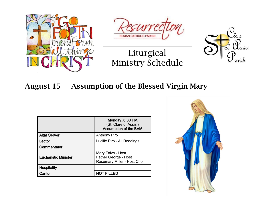







#### August 15 Assumption of the Blessed Virgin Mary

|                             | Monday, 6:30 PM<br>(St. Clare of Assisi)<br><b>Assumption of the BVM</b>  |
|-----------------------------|---------------------------------------------------------------------------|
| <b>Altar Server</b>         | <b>Anthony Piro</b>                                                       |
| Lector                      | Lucille Piro - All Readings                                               |
| Commentator                 |                                                                           |
| <b>Eucharistic Minister</b> | Mary Falvo - Host<br>Father George - Host<br>Rosemary Miller - Host Choir |
| <b>Hospitality</b>          |                                                                           |
| Cantor                      | NOT FILLED                                                                |

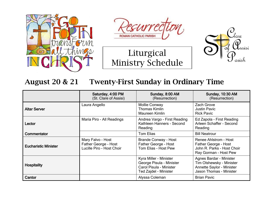



Liturgical

Ministry Schedule



### August 20 & 21 Twenty-First Sunday in Ordinary Time

|                             | Saturday, 4:00 PM<br>(St. Clare of Assisi)                             | Sunday, 8:00 AM<br>(Resurrection)                                                                      | <b>Sunday, 10:30 AM</b><br>(Resurrection)                                                                   |
|-----------------------------|------------------------------------------------------------------------|--------------------------------------------------------------------------------------------------------|-------------------------------------------------------------------------------------------------------------|
| <b>Altar Server</b>         | Laura Angello                                                          | <b>Mollie Conway</b><br><b>Thomas Kimlin</b><br>Maureen Kimlin                                         | Zach Grove<br><b>Justin Pavic</b><br><b>Rick Pavic</b>                                                      |
| Lector                      | Maria Piro - All Readings                                              | Andrea Vargo - First Reading<br>Kathleen Hanners - Second<br>Reading                                   | Ed Zapola - First Reading<br>Arleen Schaffer - Second<br>Reading                                            |
| Commentator                 |                                                                        | <b>Tom Elias</b>                                                                                       | <b>Bill Neatrour</b>                                                                                        |
| <b>Eucharistic Minister</b> | Mary Falvo - Host<br>Father George - Host<br>Lucille Piro - Host Choir | <b>Brande Conway - Host</b><br>Father George - Host<br>Tom Elias - Host Pew                            | Renee Ahlstrom - Host<br>Father George - Host<br>John R. Parks - Host Choir<br>Ray Gorman - Host Pew        |
| <b>Hospitality</b>          |                                                                        | Kyra Miller - Minister<br>George Pisula - Minister<br>Carol Pisula - Minister<br>Ted Zajdel - Minister | Agnes Bardar - Minister<br>Tim Olshewsky - Minister<br>Annette Saylor - Minister<br>Jason Thomas - Minister |
| Cantor                      |                                                                        | Alyssa Coleman                                                                                         | <b>Brian Pavic</b>                                                                                          |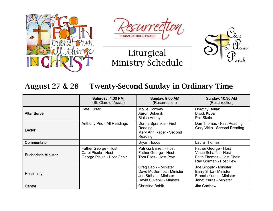







#### August 27 & 28 Twenty-Second Sunday in Ordinary Time

|                             | Saturday, 4:00 PM<br>(St. Clare of Assisi)                                | Sunday, 8:00 AM<br>(Resurrection)                                                                        | <b>Sunday, 10:30 AM</b><br>(Resurrection)                                                                     |
|-----------------------------|---------------------------------------------------------------------------|----------------------------------------------------------------------------------------------------------|---------------------------------------------------------------------------------------------------------------|
| <b>Altar Server</b>         | Pete Furfari                                                              | <b>Mollie Conway</b><br><b>Aaron Sukenik</b><br><b>Blaise Veney</b>                                      | Dorothy Bellak<br><b>Brock Kobal</b><br>Phil Skala                                                            |
| Lector                      | Anthony Piro - All Readings                                               | Donna Sprankle - First<br>Reading<br>Mary Ann Rager - Second<br>Reading                                  | Dan Thomas - First Reading<br>Gary Vitko - Second Reading                                                     |
| Commentator                 |                                                                           | <b>Bryan Hodos</b>                                                                                       | Laura Thomas                                                                                                  |
| <b>Eucharistic Minister</b> | Father George - Host<br>Carol Pisula - Host<br>George Pisula - Host Choir | Patricia Barrett - Host<br>Father George - Host<br>Tom Elias - Host Pew                                  | Father George - Host<br>Vince Schaffer - Host<br>Faith Thomas - Host Choir<br>Ray Gorman - Host Pew           |
| <b>Hospitality</b>          |                                                                           | Greg Babik - Minister<br>Dave McDermott - Minister<br>Joe Strihan - Minister<br>David Sukenik - Minister | Joe Sinoply - Minister<br><b>Barry Sirko - Minister</b><br>Francis Yuras - Minister<br>Janet Yuras - Minister |
| Cantor                      |                                                                           | <b>Christine Babik</b>                                                                                   | Jim Carthew                                                                                                   |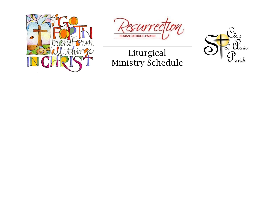



## Liturgical Ministry Schedule

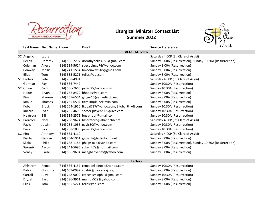

#### **Summer 2022 Liturgical Minister Contact List**



|                 | <b>Last Name</b> First Name Phone |                | <u>Email</u>                                        | <b>Service Preference</b>                                 | $\boldsymbol{\cup}$ arish |
|-----------------|-----------------------------------|----------------|-----------------------------------------------------|-----------------------------------------------------------|---------------------------|
|                 |                                   |                | <b>ALTAR SERVERS</b>                                |                                                           |                           |
| SC Angello      | Laura                             |                |                                                     | Saturday 4:00P (St. Clare of Assisi)                      |                           |
| Bellak          | Dorothy                           |                | (814) 536-2297 dorothybellak180@gmail.com           | Sunday 8:00A (Resurrection), Sunday 10:30A (Resurrection) |                           |
| Coleman         | Alyssa                            |                | (814) 539-5624 suecobingo74@yahoo.com               | Sunday 8:00A (Resurrection)                               |                           |
| Conway          | Mollie                            |                | (814) 241-1564 bmconway818@gmail.com                | Sunday 8:00A (Resurrection)                               |                           |
| Elias           | Tom                               |                | (814) 535-5271 telias@aol.com                       | Sunday 8:00A (Resurrection)                               |                           |
| SC Furfari      | Pete                              | (814) 288-4981 |                                                     | Saturday 4:00P (St. Clare of Assisi)                      |                           |
| Gorman          | Ray                               | (814) 536-7442 |                                                     | Sunday 10:30A (Resurrection)                              |                           |
| SC Grove        | Zach                              |                | (814) 536-7665 pavic30@yahoo.com                    | Sunday 10:30A (Resurrection)                              |                           |
| Hodos           | <b>Bryan</b>                      |                | (814) 262-8429 bhodos@aol.com                       | Sunday 8:00A (Resurrection)                               |                           |
| Kimlin          | Maureen                           |                | (814) 255-6504 ginger15@atlanticbb.net              | Sunday 8:00A (Resurrection)                               |                           |
| Kimlin          | <b>Thomas</b>                     |                | (814) 255-6504 tkimlin@klinekimlin.com              | Sunday 8:00A (Resurrection)                               |                           |
| Kobal           | <b>Brock</b>                      |                | (814) 254-1916 Ikobal727@yahoo.com, SKobal@jwfi.com | Sunday 10:30A (Resurrection)                              |                           |
| Kucera          | Ryan                              |                | (814) 255-4690 soccer.player2009@live.com           | Sunday 10:30A (Resurrection)                              |                           |
| Neatrour        | Bill                              |                | (814) 539-2571 bneatrour@gmail.com                  | Sunday 10:30A (Resurrection)                              |                           |
| SC Paratore     | Noel                              |                | (814) 288-9674 blparatore@atlanticbb.net            | Saturday 4:00P (St. Clare of Assisi)                      |                           |
| Pavic           | Justin                            |                | (814) 288-1086 pavic30@yahoo.com                    | Sunday 10:30A (Resurrection)                              |                           |
| Pavic           | Rick                              |                | (814) 288-1086 pavic30@yahoo.com                    | Sunday 10:30A (Resurrection)                              |                           |
| SC Piro         | Anthony                           | (814) 535-4110 |                                                     | Saturday 4:00P (St. Clare of Assisi)                      |                           |
| Pisula          | George                            |                | (814) 254-1961 ggpisula@atlanticbb.net              | Sunday 8:00A (Resurrection)                               |                           |
| Skala           | Philip                            |                | (814) 288-1185 philipskala@yahoo.com                | Sunday 8:00A (Resurrection), Sunday 10:30A (Resurrection) |                           |
| Sukenik         | Aaron                             |                | (814) 242-5695 sukenik79@hotmail.com                | Sunday 8:00A (Resurrection)                               |                           |
| Veney           | <b>Blaise</b>                     |                | (814) 536-9694 meaghanveney@yahoo.com               | Sunday 8:00A (Resurrection)                               |                           |
|                 |                                   |                |                                                     |                                                           |                           |
|                 |                                   |                | <b>Lectors</b>                                      |                                                           |                           |
| <b>Ahletrom</b> | <b>Danaa</b>                      |                | $(811)$ 536-1157, reneebellelettre@vaboo.com        | Sunday 10:20A (Recurrection)                              |                           |

| Ahlstrom     | Renee     | (814) 536-4157 reneebellelettre@yahoo.com | Sunday 10:30A (Resurrection) |
|--------------|-----------|-------------------------------------------|------------------------------|
| <b>Babik</b> | Christine | (814) 659-0992 cbabik@dioceseaj.org       | Sunday 8:00A (Resurrection)  |
| Carroll      | Judv      | (814) 248-9099 catechismstphil@gmail.com  | Sunday 10:30A (Resurrection) |
| Dryzal       | Barb      | (814) 536-3961 mumba529@yahoo.com         | Sunday 8:00A (Resurrection)  |
| Elias        | Tom       | (814) 535-5271 telias@aol.com             | Sunday 8:00A (Resurrection)  |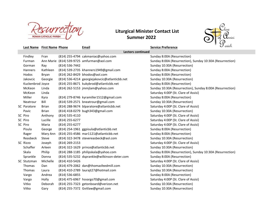

#### **Summer 2022 Liturgical Minister Contact List**



| <b>Last Name</b> First Name Phone |                          |                    | Email                                         | <b>Service Preference</b>                                 | $\mathcal O$ ansie |
|-----------------------------------|--------------------------|--------------------|-----------------------------------------------|-----------------------------------------------------------|--------------------|
|                                   | <b>Lectors continued</b> |                    |                                               |                                                           |                    |
| Findley                           | Fran                     |                    | (814) 255-4794 cakmaniac@yahoo.com            | Sunday 8:00A (Resurrection)                               |                    |
| Furman                            |                          |                    | Ann Marie (814) 539-9725 amfurman@aol.com     | Sunday 8:00A (Resurrection), Sunday 10:30A (Resurrection) |                    |
| Gorman                            | Ray                      | (814) 536-7442     |                                               | Sunday 10:30A (Resurrection)                              |                    |
| <b>Hanners</b>                    | Kathleen                 |                    | (814) 539-2735 khanners1949@gmail.com         | Sunday 8:00A (Resurrection)                               |                    |
| Hodos                             | Bryan                    |                    | (814) 262-8429 bhodos@aol.com                 | Sunday 8:00A (Resurrection)                               |                    |
| Jakovcic                          | Georgie                  |                    | (814) 536-4214 georgiejakovcic@atlanticbb.net | Sunday 10:30A (Resurrection)                              |                    |
| Kuckenbrod Joyce                  |                          |                    | (814) 255-8671 kukybrod@atlanticbb.net        | Sunday 8:00A (Resurrection)                               |                    |
| McKeon                            | Linda                    |                    | (814) 262-5153 jmmjlam@yahoo.com              | Sunday 10:30A (Resurrection), Sunday 8:00A (Resurrection) |                    |
| McKeon                            | Linda                    |                    |                                               | Saturday 4:00P (St. Clare of Assisi)                      |                    |
| Miller                            | Kyra                     |                    | (814) 279-8746 kyramiller1512@gmail.com       | Sunday 8:00A (Resurrection)                               |                    |
| Neatrour                          | Bill                     |                    | (814) 539-2571 bneatrour@gmail.com            | Sunday 10:30A (Resurrection)                              |                    |
| SC Paratore                       | <b>Brian</b>             |                    | (814) 288-9674 blparatore@atlanticbb.net      | Saturday 4:00P (St. Clare of Assisi)                      |                    |
| Pavic                             | <b>Brian</b>             |                    | (814) 418-0279 bugh343@gmail.com              | Sunday 10:30A (Resurrection)                              |                    |
| SC Piro                           | Anthony                  | (814) 535-4110     |                                               | Saturday 4:00P (St. Clare of Assisi)                      |                    |
| SC Piro                           | Lucille                  | (814) 255-6277     |                                               | Saturday 4:00P (St. Clare of Assisi)                      |                    |
| SC Piro                           | Maria                    | (814) 255-6277     |                                               | Saturday 4:00P (St. Clare of Assisi)                      |                    |
| Pisula                            | George                   |                    | (814) 254-1961 ggpisula@atlanticbb.net        | Sunday 8:00A (Resurrection)                               |                    |
| Rager                             | Mary Ann                 |                    | (814) 255-4586 mar1121@atlanticbb.net         | Sunday 8:00A (Resurrection)                               |                    |
| Reasbeck                          | Steve                    |                    | (814) 322-3478 stevereasbeck@aol.com          | Sunday 10:30A (Resurrection)                              |                    |
| SC Rizzo                          | Joseph                   | (814) 269-2153     |                                               | Saturday 4:00P (St. Clare of Assisi)                      |                    |
| Schaffer                          | Arleen                   |                    | (814) 322-1629 prince@atlanticbb.net          | Sunday 10:30A (Resurrection)                              |                    |
| Skala                             | Philip                   |                    | (814) 288-1185 philipskala@yahoo.com          | Sunday 8:00A (Resurrection), Sunday 10:30A (Resurrection) |                    |
| Sprankle                          | Donna                    |                    | (814) 535-5232 dsprankle@wilkinson-deter.com  | Sunday 8:00A (Resurrection)                               |                    |
| SC Stutzman                       | Michelle                 | (814) 410-5426     |                                               | Saturday 4:00P (St. Clare of Assisi)                      |                    |
| <b>Thomas</b>                     | Dan                      |                    | (814) 479-2062 dan@thomasfeedmill.com         | Sunday 10:30A (Resurrection)                              |                    |
| Thomas                            | Laura                    |                    | (814) 410-2789 laurajt27@hotmail.com          | Sunday 10:30A (Resurrection)                              |                    |
| Vargo                             | Andrea                   | $(814) 536 - 6855$ |                                               | Sunday 8:00A (Resurrection)                               |                    |
| Vargo                             | Holly                    |                    | (814) 475-6967 hsvargo70@gmail.com            | Saturday 4:00P (St. Clare of Assisi)                      |                    |
| Vitko                             | Deborah                  |                    | (814) 255-7323 getonboard@verizon.net         | Sunday 10:30A (Resurrection)                              |                    |
| Vitko                             | Gary                     |                    | (814) 255-7372 Gvitlaw@gmail.com              | Sunday 10:30A (Resurrection)                              |                    |
|                                   |                          |                    |                                               |                                                           |                    |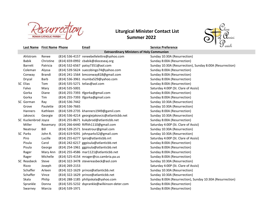

## **Summer 2022**



| <b>Last Name</b> First Name Phone |           |                    | Email                                         | <b>Service Preference</b>                                 | $\bm{\cup}$ arish |  |
|-----------------------------------|-----------|--------------------|-----------------------------------------------|-----------------------------------------------------------|-------------------|--|
|                                   |           |                    |                                               | <b>Extraordinary Ministers of Holy Communion</b>          |                   |  |
| Ahlstrom                          | Renee     |                    | (814) 536-4157 reneebellelettre@yahoo.com     | Sunday 10:30A (Resurrection)                              |                   |  |
| Babik                             | Christine |                    | (814) 659-0992 cbabik@dioceseaj.org           | Sunday 8:00A (Resurrection)                               |                   |  |
| <b>Barrett</b>                    | Patricia  |                    | (814) 532-6567 patsy7351@aol.com              | Sunday 10:30A (Resurrection), Sunday 8:00A (Resurrection) |                   |  |
| Coleman                           | Alyssa    |                    | (814) 539-5624 suecobingo74@yahoo.com         | Sunday 8:00A (Resurrection)                               |                   |  |
| Conway                            | Brandi    |                    | (814) 241-1564 bmconway818@gmail.com          | Sunday 8:00A (Resurrection)                               |                   |  |
| Dryzal                            | Barb      |                    | (814) 536-3961 mumba529@yahoo.com             | Sunday 8:00A (Resurrection)                               |                   |  |
| SC Elias                          | Tom       |                    | (814) 535-5271 telias@aol.com                 | Sunday 8:00A (Resurrection)                               |                   |  |
| Falvo                             | Mary      | $(814)$ 535-5001   |                                               | Saturday 4:00P (St. Clare of Assisi)                      |                   |  |
| Gorka                             | Diane     |                    | (814) 255-7393 tfgorka@gmail.com              | Sunday 8:00A (Resurrection)                               |                   |  |
| Gorka                             | Tim       |                    | (814) 255-7393 tfgorka@gmail.com              | Sunday 8:00A (Resurrection)                               |                   |  |
| SC Gorman                         | Ray       | (814) 536-7442     |                                               | Sunday 10:30A (Resurrection)                              |                   |  |
| Grove                             | Paulette  | $(814) 536 - 7665$ |                                               | Sunday 10:30A (Resurrection)                              |                   |  |
| Hanners                           | Kathleen  |                    | (814) 539-2735 khanners1949@gamil.com         | Sunday 8:00A (Resurrection)                               |                   |  |
| Jakovcic                          | Georgie   |                    | (814) 536-4214 georgiejakovcic@atlanticbb.net | Sunday 10:30A (Resurrection)                              |                   |  |
| SC Kuckenbrod Joyce               |           |                    | (814) 255-8671 kukybrod@atlanticbb.net        | Sunday 8:00A (Resurrection)                               |                   |  |
| Miller                            | Rosemary  |                    | (814) 266-6440 Riffith1110@gmail.com          | Saturday 4:00P (St. Clare of Assisi)                      |                   |  |
| Neatrour                          | Bill      |                    | (814) 539-2571 bneatrour@gmail.com            | Sunday 10:30A (Resurrection)                              |                   |  |
| SC Parks                          | John R.   |                    | (814) 619-9291 johnparks52@gmail.com          | Sunday 10:30A (Resurrection)                              |                   |  |
| Piro                              | Lucille   |                    | (814) 255-6277 lpiro@atlanticbb.nrt           | Saturday 4:00P (St. Clare of Assisi)                      |                   |  |
| Pisula                            | Carol     |                    | (814) 242-6217 ggpisula@atlanticbb.net        | Sunday 8:00A (Resurrection)                               |                   |  |
| Pisula                            | George    |                    | (814) 254-1961 ggpisula@atlanticbb.net        | Sunday 8:00A (Resurrection)                               |                   |  |
| Rager                             | Mary Ann  |                    | (814) 255-4586 mar1121@atlanticbb.net         | Sunday 8:00A (Resurrection)                               |                   |  |
| Rager                             | Michelle  |                    | (814) 525-4154 mrager@co.cambria.pa.us        | Sunday 8:00A (Resurrection)                               |                   |  |
| SC Reasbeck                       | Steve     |                    | (814) 322-3478 stevereasbeck@aol.com          | Sunday 10:30A (Resurrection)                              |                   |  |
| Rizzo                             | Joseph    | (814) 269-2153     |                                               | Saturday 4:00P (St. Clare of Assisi)                      |                   |  |
| Schaffer                          | Arleen    |                    | (814) 322-1629 prince@atlanticbb.net          | Sunday 10:30A (Resurrection)                              |                   |  |
| Schaffer                          | Vince     |                    | (814) 322-1629 prince@atlanticbb.net          | Sunday 10:30A (Resurrection)                              |                   |  |
| Skala                             | Philip    |                    | (814) 288-1185 philipskala@yahoo.com          | Sunday 8:00A (Resurrection), Sunday 10:30A (Resurrection) |                   |  |
| Sprankle                          | Donna     |                    | (814) 535-5232 dsprankle@wilkinson-deter.com  | Sunday 8:00A (Resurrection)                               |                   |  |
| Swarney                           | Marcia    | (814) 539-1971     |                                               | Sunday 8:00A (Resurrection)                               |                   |  |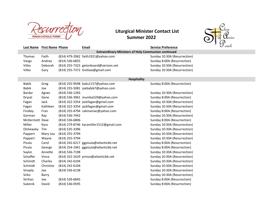

#### **Summer 2022** *LOV I*



|                |                                                            |                    |                                         | $\tilde{\phantom{a}}$                            |  |  |  |
|----------------|------------------------------------------------------------|--------------------|-----------------------------------------|--------------------------------------------------|--|--|--|
|                | <b>Last Name</b> First Name Phone                          |                    | <b>Email</b>                            | arish<br>$\sqrt{ }$<br><b>Service Preference</b> |  |  |  |
|                | <b>Extraordinary Ministers of Holy Communion continued</b> |                    |                                         |                                                  |  |  |  |
| <b>Thomas</b>  | Faith                                                      |                    | (814) 479-2062 faith1921@yahoo.com      | Sunday 10:30A (Resurrection)                     |  |  |  |
| Vargo          | Andrea                                                     | (814) 536-6855     |                                         | Sunday 8:00A (Resurrection)                      |  |  |  |
| Vitko          | Deborah                                                    |                    | (814) 255-7323 getonboard@verizon.net   | Sunday 10:30A (Resurrection)                     |  |  |  |
| Vitko          | Gary                                                       |                    | (814) 255-7372 Gvitlaw@gmail.com        | Sunday 10:30A (Resurrection)                     |  |  |  |
|                |                                                            |                    |                                         |                                                  |  |  |  |
|                |                                                            |                    | <b>Hospitality</b>                      |                                                  |  |  |  |
| <b>Babik</b>   | Greg                                                       |                    | (814) 255-9598 babs1157@yahoo.com       | Sunday 8:00A (Resurrection)                      |  |  |  |
| Babik          | Joe                                                        |                    | (814) 255-5081 joebabik7@yahoo.com      |                                                  |  |  |  |
| Bardar         | Agnes                                                      | $(814) 536 - 1283$ |                                         | Sunday 10:30A (Resurrection)                     |  |  |  |
| Dryzal         | Gene                                                       |                    | (814) 536-3961 mumba529@yahoo.com       | Sunday 8:00A (Resurrection)                      |  |  |  |
| Fagan          | Jack                                                       |                    | (814) 322-3354 jackfagan@gmail.com      | Sunday 10:30A (Resurrection)                     |  |  |  |
| Fagan          | Kathleen                                                   |                    | (814) 322-3354 jackfagan@gmail.com      | Sunday 10:30A (Resurrection)                     |  |  |  |
| Findley        | Fran                                                       |                    | (814) 255-4794 cakmaniac@yahoo.com      | Sunday 8:00A (Resurrection)                      |  |  |  |
| Gorman         | Ray                                                        | (814) 536-7442     |                                         | Sunday 10:30A (Resurrection)                     |  |  |  |
| McDermott Dave |                                                            | (814) 536-6806     |                                         | Sunday 8:00A (Resurrection)                      |  |  |  |
| Miller         | Kyra                                                       |                    | (814) 279-8746 kyramiller1512@gmail.com | Sunday 10:30A (Resurrection)                     |  |  |  |
| Olshewsky      | Tim                                                        | (814) 535-3396     |                                         | Sunday 10:30A (Resurrection)                     |  |  |  |
| Pappert        | Mary Lou                                                   | (814) 255-3794     |                                         | Sunday 10:30A (Resurrection)                     |  |  |  |
| Pappert        | Wayne                                                      | (814) 255-3794     |                                         | Sunday 10:30A (Resurrection)                     |  |  |  |
| Pisula         | Carol                                                      |                    | (814) 242-6217 ggpisula@atlanticbb.net  | Sunday 8:00A (Resurrection)                      |  |  |  |
| Pisula         | George                                                     |                    | (814) 254-1961 ggpisula@atlanticbb.net  | Sunday 8:00A (Resurrection)                      |  |  |  |
| Saylor         | Annette                                                    | (814) 536-7198     |                                         | Sunday 10:30A (Resurrection)                     |  |  |  |
| Schaffer       | Vince                                                      |                    | (814) 322-1629 prince@atlanticbb.net    | Sunday 10:30A (Resurrection)                     |  |  |  |
| Schmidt        | Charles                                                    | (814) 242-6104     |                                         | Sunday 10:30A (Resurrection)                     |  |  |  |
| Schmidt        | Christine                                                  | (814) 242-6104     |                                         | Sunday 10:30A (Resurrection)                     |  |  |  |
| Sinoply        | Joe                                                        | (814) 536-6138     |                                         | Sunday 10:30A (Resurrection)                     |  |  |  |
| Sirko          | Barry                                                      |                    |                                         | Sunday 10:30A (Resurrection)                     |  |  |  |

Strihan Joe (814) 539-6845 Strihan Joe (814) 539-6845 Sukenik David (814) 536-0595 Sukenik David (814) 536-0595